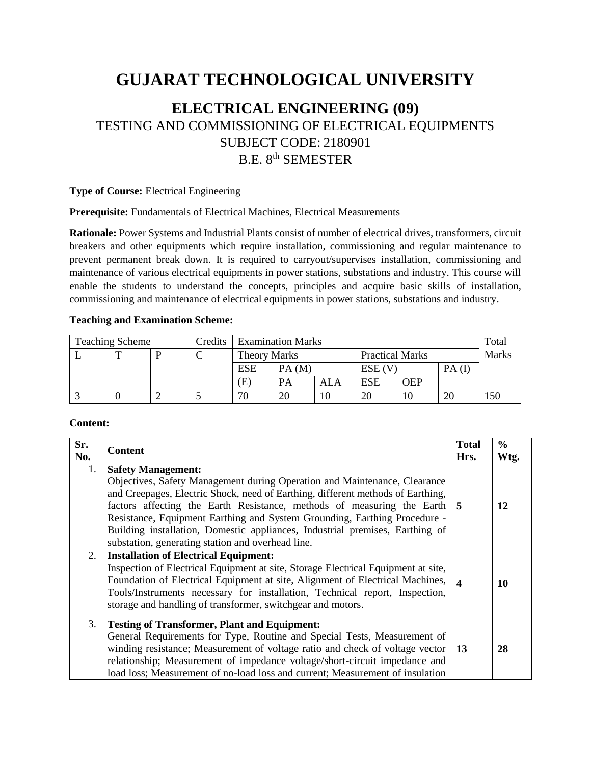# **GUJARAT TECHNOLOGICAL UNIVERSITY**

# **ELECTRICAL ENGINEERING (09)** TESTING AND COMMISSIONING OF ELECTRICAL EQUIPMENTS SUBJECT CODE: 2180901 B.E. 8<sup>th</sup> SEMESTER

#### **Type of Course:** Electrical Engineering

**Prerequisite:** Fundamentals of Electrical Machines, Electrical Measurements

**Rationale:** Power Systems and Industrial Plants consist of number of electrical drives, transformers, circuit breakers and other equipments which require installation, commissioning and regular maintenance to prevent permanent break down. It is required to carryout/supervises installation, commissioning and maintenance of various electrical equipments in power stations, substations and industry. This course will enable the students to understand the concepts, principles and acquire basic skills of installation, commissioning and maintenance of electrical equipments in power stations, substations and industry.

#### **Teaching and Examination Scheme:**

| <b>Teaching Scheme</b> |  |   | Credits | <b>Examination Marks</b> |           |     |                        |            | Total    |              |
|------------------------|--|---|---------|--------------------------|-----------|-----|------------------------|------------|----------|--------------|
|                        |  | D |         | <b>Theory Marks</b>      |           |     | <b>Practical Marks</b> |            |          | <b>Marks</b> |
|                        |  |   |         | <b>ESE</b>               | PA(M)     |     | ESE (V                 |            | $PA$ (I) |              |
|                        |  |   |         | (E)                      | <b>PA</b> | ALA | <b>ESE</b>             | <b>OEP</b> |          |              |
|                        |  |   |         | 70                       | 20        | 10  | 20                     | 10         | 20       | l 50         |

#### **Content:**

| Sr.<br>No. | <b>Content</b>                                                                                                                                                                                                                                                                                                                                                                                                                                                                          | <b>Total</b><br>Hrs.  | $\frac{0}{0}$<br>Wtg. |
|------------|-----------------------------------------------------------------------------------------------------------------------------------------------------------------------------------------------------------------------------------------------------------------------------------------------------------------------------------------------------------------------------------------------------------------------------------------------------------------------------------------|-----------------------|-----------------------|
| 1.         | <b>Safety Management:</b><br>Objectives, Safety Management during Operation and Maintenance, Clearance<br>and Creepages, Electric Shock, need of Earthing, different methods of Earthing,<br>factors affecting the Earth Resistance, methods of measuring the Earth 5<br>Resistance, Equipment Earthing and System Grounding, Earthing Procedure -<br>Building installation, Domestic appliances, Industrial premises, Earthing of<br>substation, generating station and overhead line. |                       | 12                    |
| 2.         | <b>Installation of Electrical Equipment:</b><br>Inspection of Electrical Equipment at site, Storage Electrical Equipment at site,<br>Foundation of Electrical Equipment at site, Alignment of Electrical Machines,<br>Tools/Instruments necessary for installation, Technical report, Inspection,<br>storage and handling of transformer, switchgear and motors.                                                                                                                        | $\boldsymbol{\Delta}$ | 10                    |
| 3.         | <b>Testing of Transformer, Plant and Equipment:</b><br>General Requirements for Type, Routine and Special Tests, Measurement of<br>winding resistance; Measurement of voltage ratio and check of voltage vector<br>relationship; Measurement of impedance voltage/short-circuit impedance and<br>load loss; Measurement of no-load loss and current; Measurement of insulation                                                                                                          | 13                    | 28                    |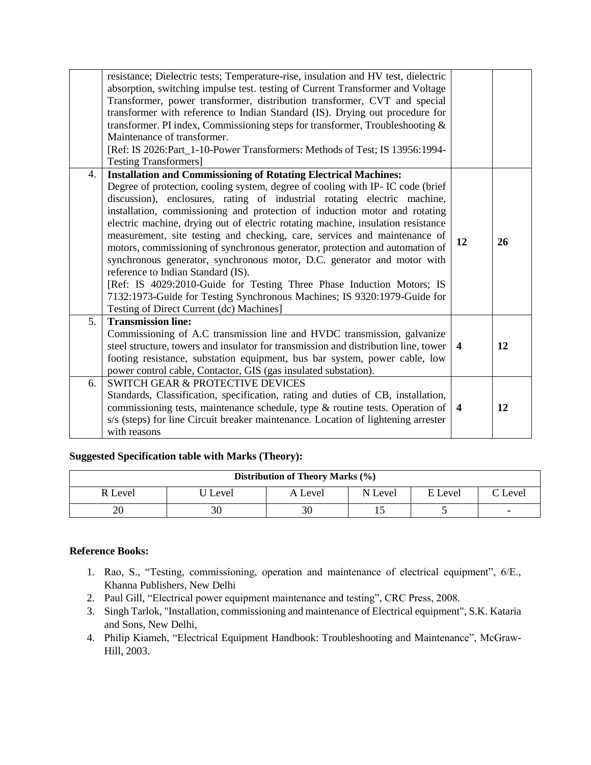| absorption, switching impulse test. testing of Current Transformer and Voltage<br>Transformer, power transformer, distribution transformer, CVT and special<br>transformer with reference to Indian Standard (IS). Drying out procedure for<br>transformer. PI index, Commissioning steps for transformer, Troubleshooting $\&$<br>Maintenance of transformer.<br>[Ref: IS 2026:Part_1-10-Power Transformers: Methods of Test; IS 13956:1994-<br><b>Testing Transformers]</b><br><b>Installation and Commissioning of Rotating Electrical Machines:</b><br>4.<br>Degree of protection, cooling system, degree of cooling with IP-IC code (brief<br>discussion), enclosures, rating of industrial rotating electric machine,<br>installation, commissioning and protection of induction motor and rotating<br>electric machine, drying out of electric rotating machine, insulation resistance<br>measurement, site testing and checking, care, services and maintenance of<br>12<br>26<br>motors, commissioning of synchronous generator, protection and automation of<br>synchronous generator, synchronous motor, D.C. generator and motor with<br>reference to Indian Standard (IS).<br>[Ref: IS 4029:2010-Guide for Testing Three Phase Induction Motors; IS<br>7132:1973-Guide for Testing Synchronous Machines; IS 9320:1979-Guide for<br>Testing of Direct Current (dc) Machines]<br>5 <sub>1</sub><br><b>Transmission line:</b><br>Commissioning of A.C transmission line and HVDC transmission, galvanize<br>steel structure, towers and insulator for transmission and distribution line, tower<br>12<br>$\overline{\mathbf{4}}$<br>footing resistance, substation equipment, bus bar system, power cable, low<br>power control cable, Contactor, GIS (gas insulated substation).<br><b>SWITCH GEAR &amp; PROTECTIVE DEVICES</b><br>6.<br>Standards, Classification, specification, rating and duties of CB, installation,<br>commissioning tests, maintenance schedule, type & routine tests. Operation of<br>12<br>$\overline{\mathbf{4}}$<br>s/s (steps) for line Circuit breaker maintenance. Location of lightening arrester<br>with reasons |                                                                                    |  |
|-------------------------------------------------------------------------------------------------------------------------------------------------------------------------------------------------------------------------------------------------------------------------------------------------------------------------------------------------------------------------------------------------------------------------------------------------------------------------------------------------------------------------------------------------------------------------------------------------------------------------------------------------------------------------------------------------------------------------------------------------------------------------------------------------------------------------------------------------------------------------------------------------------------------------------------------------------------------------------------------------------------------------------------------------------------------------------------------------------------------------------------------------------------------------------------------------------------------------------------------------------------------------------------------------------------------------------------------------------------------------------------------------------------------------------------------------------------------------------------------------------------------------------------------------------------------------------------------------------------------------------------------------------------------------------------------------------------------------------------------------------------------------------------------------------------------------------------------------------------------------------------------------------------------------------------------------------------------------------------------------------------------------------------------------------------------------------------------------------------------------------------------------------------|------------------------------------------------------------------------------------|--|
|                                                                                                                                                                                                                                                                                                                                                                                                                                                                                                                                                                                                                                                                                                                                                                                                                                                                                                                                                                                                                                                                                                                                                                                                                                                                                                                                                                                                                                                                                                                                                                                                                                                                                                                                                                                                                                                                                                                                                                                                                                                                                                                                                             | resistance; Dielectric tests; Temperature-rise, insulation and HV test, dielectric |  |
|                                                                                                                                                                                                                                                                                                                                                                                                                                                                                                                                                                                                                                                                                                                                                                                                                                                                                                                                                                                                                                                                                                                                                                                                                                                                                                                                                                                                                                                                                                                                                                                                                                                                                                                                                                                                                                                                                                                                                                                                                                                                                                                                                             |                                                                                    |  |
|                                                                                                                                                                                                                                                                                                                                                                                                                                                                                                                                                                                                                                                                                                                                                                                                                                                                                                                                                                                                                                                                                                                                                                                                                                                                                                                                                                                                                                                                                                                                                                                                                                                                                                                                                                                                                                                                                                                                                                                                                                                                                                                                                             |                                                                                    |  |
|                                                                                                                                                                                                                                                                                                                                                                                                                                                                                                                                                                                                                                                                                                                                                                                                                                                                                                                                                                                                                                                                                                                                                                                                                                                                                                                                                                                                                                                                                                                                                                                                                                                                                                                                                                                                                                                                                                                                                                                                                                                                                                                                                             |                                                                                    |  |
|                                                                                                                                                                                                                                                                                                                                                                                                                                                                                                                                                                                                                                                                                                                                                                                                                                                                                                                                                                                                                                                                                                                                                                                                                                                                                                                                                                                                                                                                                                                                                                                                                                                                                                                                                                                                                                                                                                                                                                                                                                                                                                                                                             |                                                                                    |  |
|                                                                                                                                                                                                                                                                                                                                                                                                                                                                                                                                                                                                                                                                                                                                                                                                                                                                                                                                                                                                                                                                                                                                                                                                                                                                                                                                                                                                                                                                                                                                                                                                                                                                                                                                                                                                                                                                                                                                                                                                                                                                                                                                                             |                                                                                    |  |
|                                                                                                                                                                                                                                                                                                                                                                                                                                                                                                                                                                                                                                                                                                                                                                                                                                                                                                                                                                                                                                                                                                                                                                                                                                                                                                                                                                                                                                                                                                                                                                                                                                                                                                                                                                                                                                                                                                                                                                                                                                                                                                                                                             |                                                                                    |  |
|                                                                                                                                                                                                                                                                                                                                                                                                                                                                                                                                                                                                                                                                                                                                                                                                                                                                                                                                                                                                                                                                                                                                                                                                                                                                                                                                                                                                                                                                                                                                                                                                                                                                                                                                                                                                                                                                                                                                                                                                                                                                                                                                                             |                                                                                    |  |
|                                                                                                                                                                                                                                                                                                                                                                                                                                                                                                                                                                                                                                                                                                                                                                                                                                                                                                                                                                                                                                                                                                                                                                                                                                                                                                                                                                                                                                                                                                                                                                                                                                                                                                                                                                                                                                                                                                                                                                                                                                                                                                                                                             |                                                                                    |  |
|                                                                                                                                                                                                                                                                                                                                                                                                                                                                                                                                                                                                                                                                                                                                                                                                                                                                                                                                                                                                                                                                                                                                                                                                                                                                                                                                                                                                                                                                                                                                                                                                                                                                                                                                                                                                                                                                                                                                                                                                                                                                                                                                                             |                                                                                    |  |
|                                                                                                                                                                                                                                                                                                                                                                                                                                                                                                                                                                                                                                                                                                                                                                                                                                                                                                                                                                                                                                                                                                                                                                                                                                                                                                                                                                                                                                                                                                                                                                                                                                                                                                                                                                                                                                                                                                                                                                                                                                                                                                                                                             |                                                                                    |  |
|                                                                                                                                                                                                                                                                                                                                                                                                                                                                                                                                                                                                                                                                                                                                                                                                                                                                                                                                                                                                                                                                                                                                                                                                                                                                                                                                                                                                                                                                                                                                                                                                                                                                                                                                                                                                                                                                                                                                                                                                                                                                                                                                                             |                                                                                    |  |
|                                                                                                                                                                                                                                                                                                                                                                                                                                                                                                                                                                                                                                                                                                                                                                                                                                                                                                                                                                                                                                                                                                                                                                                                                                                                                                                                                                                                                                                                                                                                                                                                                                                                                                                                                                                                                                                                                                                                                                                                                                                                                                                                                             |                                                                                    |  |
|                                                                                                                                                                                                                                                                                                                                                                                                                                                                                                                                                                                                                                                                                                                                                                                                                                                                                                                                                                                                                                                                                                                                                                                                                                                                                                                                                                                                                                                                                                                                                                                                                                                                                                                                                                                                                                                                                                                                                                                                                                                                                                                                                             |                                                                                    |  |
|                                                                                                                                                                                                                                                                                                                                                                                                                                                                                                                                                                                                                                                                                                                                                                                                                                                                                                                                                                                                                                                                                                                                                                                                                                                                                                                                                                                                                                                                                                                                                                                                                                                                                                                                                                                                                                                                                                                                                                                                                                                                                                                                                             |                                                                                    |  |
|                                                                                                                                                                                                                                                                                                                                                                                                                                                                                                                                                                                                                                                                                                                                                                                                                                                                                                                                                                                                                                                                                                                                                                                                                                                                                                                                                                                                                                                                                                                                                                                                                                                                                                                                                                                                                                                                                                                                                                                                                                                                                                                                                             |                                                                                    |  |
|                                                                                                                                                                                                                                                                                                                                                                                                                                                                                                                                                                                                                                                                                                                                                                                                                                                                                                                                                                                                                                                                                                                                                                                                                                                                                                                                                                                                                                                                                                                                                                                                                                                                                                                                                                                                                                                                                                                                                                                                                                                                                                                                                             |                                                                                    |  |
|                                                                                                                                                                                                                                                                                                                                                                                                                                                                                                                                                                                                                                                                                                                                                                                                                                                                                                                                                                                                                                                                                                                                                                                                                                                                                                                                                                                                                                                                                                                                                                                                                                                                                                                                                                                                                                                                                                                                                                                                                                                                                                                                                             |                                                                                    |  |
|                                                                                                                                                                                                                                                                                                                                                                                                                                                                                                                                                                                                                                                                                                                                                                                                                                                                                                                                                                                                                                                                                                                                                                                                                                                                                                                                                                                                                                                                                                                                                                                                                                                                                                                                                                                                                                                                                                                                                                                                                                                                                                                                                             |                                                                                    |  |
|                                                                                                                                                                                                                                                                                                                                                                                                                                                                                                                                                                                                                                                                                                                                                                                                                                                                                                                                                                                                                                                                                                                                                                                                                                                                                                                                                                                                                                                                                                                                                                                                                                                                                                                                                                                                                                                                                                                                                                                                                                                                                                                                                             |                                                                                    |  |
|                                                                                                                                                                                                                                                                                                                                                                                                                                                                                                                                                                                                                                                                                                                                                                                                                                                                                                                                                                                                                                                                                                                                                                                                                                                                                                                                                                                                                                                                                                                                                                                                                                                                                                                                                                                                                                                                                                                                                                                                                                                                                                                                                             |                                                                                    |  |
|                                                                                                                                                                                                                                                                                                                                                                                                                                                                                                                                                                                                                                                                                                                                                                                                                                                                                                                                                                                                                                                                                                                                                                                                                                                                                                                                                                                                                                                                                                                                                                                                                                                                                                                                                                                                                                                                                                                                                                                                                                                                                                                                                             |                                                                                    |  |
|                                                                                                                                                                                                                                                                                                                                                                                                                                                                                                                                                                                                                                                                                                                                                                                                                                                                                                                                                                                                                                                                                                                                                                                                                                                                                                                                                                                                                                                                                                                                                                                                                                                                                                                                                                                                                                                                                                                                                                                                                                                                                                                                                             |                                                                                    |  |
|                                                                                                                                                                                                                                                                                                                                                                                                                                                                                                                                                                                                                                                                                                                                                                                                                                                                                                                                                                                                                                                                                                                                                                                                                                                                                                                                                                                                                                                                                                                                                                                                                                                                                                                                                                                                                                                                                                                                                                                                                                                                                                                                                             |                                                                                    |  |
|                                                                                                                                                                                                                                                                                                                                                                                                                                                                                                                                                                                                                                                                                                                                                                                                                                                                                                                                                                                                                                                                                                                                                                                                                                                                                                                                                                                                                                                                                                                                                                                                                                                                                                                                                                                                                                                                                                                                                                                                                                                                                                                                                             |                                                                                    |  |
|                                                                                                                                                                                                                                                                                                                                                                                                                                                                                                                                                                                                                                                                                                                                                                                                                                                                                                                                                                                                                                                                                                                                                                                                                                                                                                                                                                                                                                                                                                                                                                                                                                                                                                                                                                                                                                                                                                                                                                                                                                                                                                                                                             |                                                                                    |  |
|                                                                                                                                                                                                                                                                                                                                                                                                                                                                                                                                                                                                                                                                                                                                                                                                                                                                                                                                                                                                                                                                                                                                                                                                                                                                                                                                                                                                                                                                                                                                                                                                                                                                                                                                                                                                                                                                                                                                                                                                                                                                                                                                                             |                                                                                    |  |
|                                                                                                                                                                                                                                                                                                                                                                                                                                                                                                                                                                                                                                                                                                                                                                                                                                                                                                                                                                                                                                                                                                                                                                                                                                                                                                                                                                                                                                                                                                                                                                                                                                                                                                                                                                                                                                                                                                                                                                                                                                                                                                                                                             |                                                                                    |  |
|                                                                                                                                                                                                                                                                                                                                                                                                                                                                                                                                                                                                                                                                                                                                                                                                                                                                                                                                                                                                                                                                                                                                                                                                                                                                                                                                                                                                                                                                                                                                                                                                                                                                                                                                                                                                                                                                                                                                                                                                                                                                                                                                                             |                                                                                    |  |
|                                                                                                                                                                                                                                                                                                                                                                                                                                                                                                                                                                                                                                                                                                                                                                                                                                                                                                                                                                                                                                                                                                                                                                                                                                                                                                                                                                                                                                                                                                                                                                                                                                                                                                                                                                                                                                                                                                                                                                                                                                                                                                                                                             |                                                                                    |  |

## **Suggested Specification table with Marks (Theory):**

| Distribution of Theory Marks (%) |          |         |         |         |                     |  |
|----------------------------------|----------|---------|---------|---------|---------------------|--|
| R Level                          | 'J Level | A Level | N Level | E Level | $\mathcal{C}$ Level |  |
| 20                               | υc       | 30      |         |         |                     |  |

#### **Reference Books:**

- 1. Rao, S., "Testing, commissioning, operation and maintenance of electrical equipment", 6/E., Khanna Publishers, New Delhi
- 2. Paul Gill, "Electrical power equipment maintenance and testing", CRC Press, 2008.
- 3. Singh Tarlok, "Installation, commissioning and maintenance of Electrical equipment", S.K. Kataria and Sons, New Delhi,
- 4. Philip Kiameh, "Electrical Equipment Handbook: Troubleshooting and Maintenance", McGraw-Hill, 2003.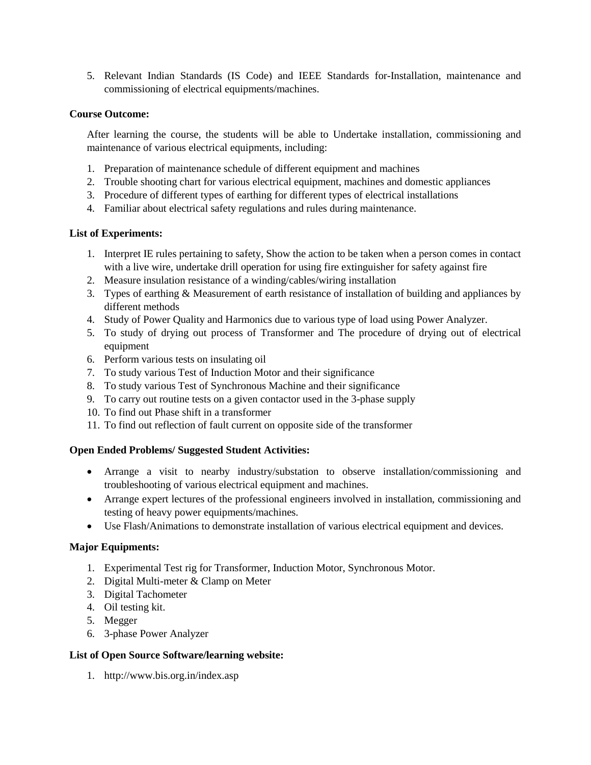5. Relevant Indian Standards (IS Code) and IEEE Standards for-Installation, maintenance and commissioning of electrical equipments/machines.

#### **Course Outcome:**

After learning the course, the students will be able to Undertake installation, commissioning and maintenance of various electrical equipments, including:

- 1. Preparation of maintenance schedule of different equipment and machines
- 2. Trouble shooting chart for various electrical equipment, machines and domestic appliances
- 3. Procedure of different types of earthing for different types of electrical installations
- 4. Familiar about electrical safety regulations and rules during maintenance.

#### **List of Experiments:**

- 1. Interpret IE rules pertaining to safety, Show the action to be taken when a person comes in contact with a live wire, undertake drill operation for using fire extinguisher for safety against fire
- 2. Measure insulation resistance of a winding/cables/wiring installation
- 3. Types of earthing & Measurement of earth resistance of installation of building and appliances by different methods
- 4. Study of Power Quality and Harmonics due to various type of load using Power Analyzer.
- 5. To study of drying out process of Transformer and The procedure of drying out of electrical equipment
- 6. Perform various tests on insulating oil
- 7. To study various Test of Induction Motor and their significance
- 8. To study various Test of Synchronous Machine and their significance
- 9. To carry out routine tests on a given contactor used in the 3-phase supply
- 10. To find out Phase shift in a transformer
- 11. To find out reflection of fault current on opposite side of the transformer

## **Open Ended Problems/ Suggested Student Activities:**

- Arrange a visit to nearby industry/substation to observe installation/commissioning and troubleshooting of various electrical equipment and machines.
- Arrange expert lectures of the professional engineers involved in installation, commissioning and testing of heavy power equipments/machines.
- Use Flash/Animations to demonstrate installation of various electrical equipment and devices.

#### **Major Equipments:**

- 1. Experimental Test rig for Transformer, Induction Motor, Synchronous Motor.
- 2. Digital Multi-meter & Clamp on Meter
- 3. Digital Tachometer
- 4. Oil testing kit.
- 5. Megger
- 6. 3-phase Power Analyzer

#### **List of Open Source Software/learning website:**

1. http://www.bis.org.in/index.asp